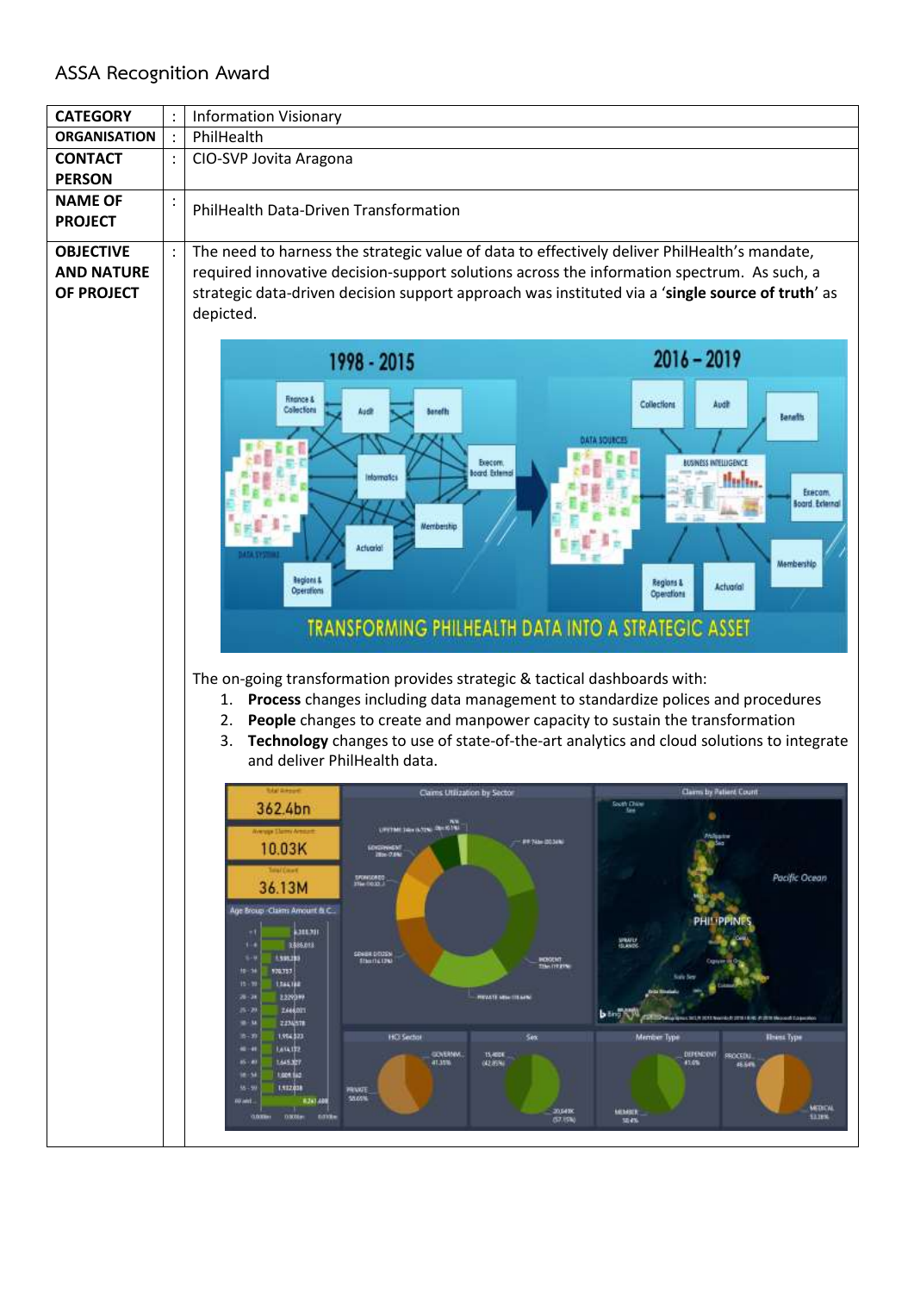## **ASSA Recognition Award**

| <b>CATEGORY</b>                                            | <b>Information Visionary</b>                                                                                                                                                                                                                                                                                                                                                                                                                                                                                                                                                                                                                                                                                                                                                                                                                                                                                                                                                                                                                                                                                                                                                                          |  |  |  |  |  |  |  |
|------------------------------------------------------------|-------------------------------------------------------------------------------------------------------------------------------------------------------------------------------------------------------------------------------------------------------------------------------------------------------------------------------------------------------------------------------------------------------------------------------------------------------------------------------------------------------------------------------------------------------------------------------------------------------------------------------------------------------------------------------------------------------------------------------------------------------------------------------------------------------------------------------------------------------------------------------------------------------------------------------------------------------------------------------------------------------------------------------------------------------------------------------------------------------------------------------------------------------------------------------------------------------|--|--|--|--|--|--|--|
| <b>ORGANISATION</b>                                        | PhilHealth                                                                                                                                                                                                                                                                                                                                                                                                                                                                                                                                                                                                                                                                                                                                                                                                                                                                                                                                                                                                                                                                                                                                                                                            |  |  |  |  |  |  |  |
| <b>CONTACT</b><br><b>PERSON</b>                            | CIO-SVP Jovita Aragona                                                                                                                                                                                                                                                                                                                                                                                                                                                                                                                                                                                                                                                                                                                                                                                                                                                                                                                                                                                                                                                                                                                                                                                |  |  |  |  |  |  |  |
| <b>NAME OF</b><br><b>PROJECT</b>                           | PhilHealth Data-Driven Transformation                                                                                                                                                                                                                                                                                                                                                                                                                                                                                                                                                                                                                                                                                                                                                                                                                                                                                                                                                                                                                                                                                                                                                                 |  |  |  |  |  |  |  |
| <b>OBJECTIVE</b><br><b>AND NATURE</b><br><b>OF PROJECT</b> | The need to harness the strategic value of data to effectively deliver PhilHealth's mandate,<br>required innovative decision-support solutions across the information spectrum. As such, a<br>strategic data-driven decision support approach was instituted via a 'single source of truth' as<br>depicted.                                                                                                                                                                                                                                                                                                                                                                                                                                                                                                                                                                                                                                                                                                                                                                                                                                                                                           |  |  |  |  |  |  |  |
|                                                            | $2016 - 2019$<br>1998 - 2015<br><b>Finance &amp;</b><br>Audit<br>Collections<br>Collections<br><b>Audit</b><br><b>Banefts</b><br><b>Banafits</b><br>DATA SOURCES<br>Execom.<br><b>USINESS INTELLIGENCE</b><br>load Edenal<br><b>Informatics</b><br>Hubu.<br>Execom.<br><b>Soard Eclernal</b><br><b>Membership</b><br>Actuarial<br>Membership<br><b>Regions &amp;</b><br>Regions &<br><b>Actuarial</b><br>Operations<br><b>Operations</b><br>TRANSFORMING PHILHEALTH DATA INTO A STRATEGIC ASSET<br>The on-going transformation provides strategic & tactical dashboards with:<br>Process changes including data management to standardize polices and procedures<br>1.<br>People changes to create and manpower capacity to sustain the transformation<br>2.<br>Technology changes to use of state-of-the-art analytics and cloud solutions to integrate<br>3.<br>and deliver PhilHealth data.                                                                                                                                                                                                                                                                                                        |  |  |  |  |  |  |  |
|                                                            | Claims by Patient Cour<br>Cams Utilization by Sector<br>South Chine<br>362.4bn<br><b>See</b><br>٠<br><b>UPTIME DELIVERED DEL STATE</b><br><b>Weige Elemy Areast</b><br><b>Philippine</b><br><b>##245-0034%</b><br>10.03K<br>LONDRINGS!<br>Total Court<br>Pacific Ocean<br>SRONGORED<br>36.13M<br>Age Broup Claims Amount & C.<br>philippine<br><b>ABLES</b><br>٠١<br>SPANIS<br>3,506,018<br>$1 - 1$<br>SENIR DITISS<br>1,595,293<br>$1 - 1$<br><b><i><u>Itemskupe</u></i></b><br>INDIGENT<br>This fritzen<br>170,757<br>10-34<br>1564,188<br>15 - 99<br>2.2293.99<br><b>REWIL HIGHLIGHT</b><br>78-74<br><b>ZA660IT</b><br>25.28<br><b>b</b> line N<br>Musique Corta (CTE North ESTER LE PER PER Museum Couponio)<br>2224578<br><b>u</b> - u<br>1,954,523<br><b>HO Sector</b><br>Sex.<br><b>Illiess</b> Type<br>$8 - 30$<br><b>Member Type</b><br>1,614,132<br>. .<br>GOVERNM.<br>15,400K<br>DEPENDENT SROCEDU<br>1,645.027<br>45 ( 8)<br>41,35%<br>(42.85%)<br>41.0%<br>46.64%<br><b>Light Sec.</b><br><b>M-M</b><br>1,112,038<br>56-9<br><b>MEASTE</b><br>10,00%<br>8261400<br>00 and<br>MEDICAL<br>20,6400<br>MEMBER<br><b>D300Lm</b><br>\$3,18%<br>natale<br><b>GOTH</b><br><b>G7.15%</b><br>30,4% |  |  |  |  |  |  |  |